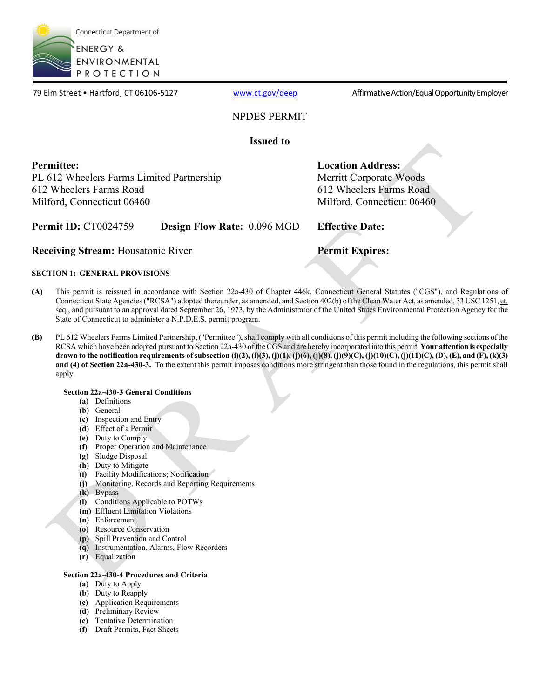

79 Elm Street • Hartford, CT 06106-5127 [www.ct.gov/deep](http://www.ct.gov/deep) Affirmative Action/Equal Opportunity Employer

# NPDES PERMIT

**Issued to**

**Permittee:**  PL 612 Wheelers Farms Limited Partnership 612 Wheelers Farms Road Milford, Connecticut 06460

**Location Address:** Merritt Corporate Woods 612 Wheelers Farms Road Milford, Connecticut 06460

**Permit ID:** CT0024759 **Design Flow Rate:** 0.096 MGD **Effective Date:**

**Receiving Stream:** Housatonic River **Permit Expires:** 

# **SECTION 1: GENERAL PROVISIONS**

- **(A)** This permit is reissued in accordance with Section 22a-430 of Chapter 446k, Connecticut General Statutes ("CGS"), and Regulations of Connecticut State Agencies ("RCSA") adopted thereunder, as amended, and Section 402(b) of the Clean Water Act, as amended, 33 USC 1251, et. seq., and pursuant to an approval dated September 26, 1973, by the Administrator of the United States Environmental Protection Agency for the State of Connecticut to administer a N.P.D.E.S. permit program.
- **(B)** PL 612 Wheelers Farms Limited Partnership, ("Permittee"), shall comply with all conditions of this permit including the following sections of the RCSA which have been adopted pursuant to Section 22a-430 of the CGS and are hereby incorporated into this permit. **Your attention is especially drawn to the notification requirements of subsection (i)(2), (i)(3), (j)(1), (j)(6), (j)(8), (j)(9)(C), (j)(10)(C), (j)(11)(C), (D), (E), and (F), (k)(3) and (4) of Section 22a-430-3.** To the extent this permit imposes conditions more stringent than those found in the regulations, this permit shall apply.

# **Section 22a-430-3 General Conditions**

- **(a)** Definitions
- **(b)** General
- **(c)** Inspection and Entry
- **(d)** Effect of a Permit
- **(e)** Duty to Comply
- **(f)** Proper Operation and Maintenance
- **(g)** Sludge Disposal
- **(h)** Duty to Mitigate
- **(i)** Facility Modifications; Notification
- **(j)** Monitoring, Records and Reporting Requirements
- **(k)** Bypass
- **(l)** Conditions Applicable to POTWs
- **(m)** Effluent Limitation Violations
- **(n)** Enforcement
- **(o)** Resource Conservation
- **(p)** Spill Prevention and Control
- **(q)** Instrumentation, Alarms, Flow Recorders
- **(r)** Equalization

## **Section 22a-430-4 Procedures and Criteria**

- **(a)** Duty to Apply
- **(b)** Duty to Reapply
- **(c)** Application Requirements
- **(d)** Preliminary Review
- **(e)** Tentative Determination
- **(f)** Draft Permits, Fact Sheets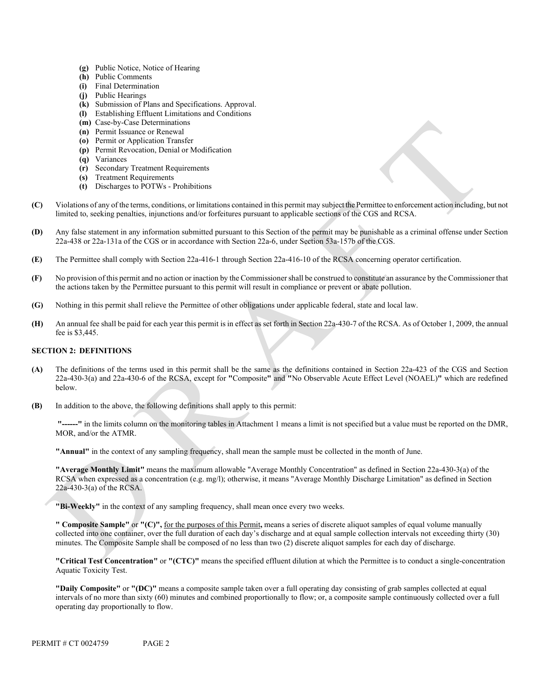- **(g)** Public Notice, Notice of Hearing
- **(h)** Public Comments
- **(i)** Final Determination
- **(j)** Public Hearings
- **(k)** Submission of Plans and Specifications. Approval.
- **(l)** Establishing Effluent Limitations and Conditions
- **(m)** Case-by-Case Determinations
- **(n)** Permit Issuance or Renewal
- **(o)** Permit or Application Transfer
- **(p)** Permit Revocation, Denial or Modification
- **(q)** Variances
- **(r)** Secondary Treatment Requirements
- **(s)** Treatment Requirements
- **(t)** Discharges to POTWs Prohibitions
- **(C)** Violations of any of the terms, conditions, or limitations contained in this permit may subject the Permittee to enforcement action including, but not limited to, seeking penalties, injunctions and/or forfeitures pursuant to applicable sections of the CGS and RCSA.
- **(D)** Any false statement in any information submitted pursuant to this Section of the permit may be punishable as a criminal offense under Section 22a-438 or 22a-131a of the CGS or in accordance with Section 22a-6, under Section 53a-157b of the CGS.
- **(E)** The Permittee shall comply with Section 22a-416-1 through Section 22a-416-10 of the RCSA concerning operator certification.
- **(F)** No provision of this permit and no action or inaction by the Commissioner shall be construed to constitute an assurance by the Commissioner that the actions taken by the Permittee pursuant to this permit will result in compliance or prevent or abate pollution.
- **(G)** Nothing in this permit shall relieve the Permittee of other obligations under applicable federal, state and local law.
- **(H)** An annual fee shall be paid for each year this permit is in effect as set forth in Section 22a-430-7 of the RCSA. As of October 1, 2009, the annual fee is \$3,445.

### **SECTION 2: DEFINITIONS**

- **(A)** The definitions of the terms used in this permit shall be the same as the definitions contained in Section 22a-423 of the CGS and Section 22a-430-3(a) and 22a-430-6 of the RCSA, except for **"**Composite**"** and **"**No Observable Acute Effect Level (NOAEL)**"** which are redefined below.
- **(B)** In addition to the above, the following definitions shall apply to this permit:

 **"------"** in the limits column on the monitoring tables in Attachment 1 means a limit is not specified but a value must be reported on the DMR, MOR, and/or the ATMR.

**"Annual"** in the context of any sampling frequency, shall mean the sample must be collected in the month of June.

**"Average Monthly Limit"** means the maximum allowable "Average Monthly Concentration" as defined in Section 22a-430-3(a) of the RCSA when expressed as a concentration (e.g. mg/l); otherwise, it means "Average Monthly Discharge Limitation" as defined in Section 22a-430-3(a) of the RCSA.

**"Bi-Weekly"** in the context of any sampling frequency, shall mean once every two weeks.

**" Composite Sample"** or **"(C)",** for the purposes of this Permit**,** means a series of discrete aliquot samples of equal volume manually collected into one container, over the full duration of each day's discharge and at equal sample collection intervals not exceeding thirty (30) minutes. The Composite Sample shall be composed of no less than two (2) discrete aliquot samples for each day of discharge.

**"Critical Test Concentration"** or **"(CTC)"** means the specified effluent dilution at which the Permittee is to conduct a single-concentration Aquatic Toxicity Test.

**"Daily Composite"** or **"(DC)"** means a composite sample taken over a full operating day consisting of grab samples collected at equal intervals of no more than sixty (60) minutes and combined proportionally to flow; or, a composite sample continuously collected over a full operating day proportionally to flow.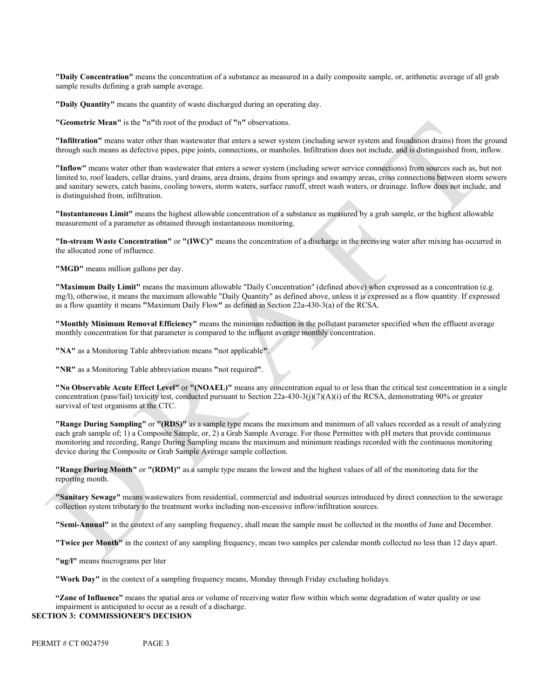**"Daily Concentration"** means the concentration of a substance as measured in a daily composite sample, or, arithmetic average of all grab sample results defining a grab sample average.

**"Daily Quantity"** means the quantity of waste discharged during an operating day.

**"Geometric Mean"** is the **"**n**"**th root of the product of **"**n**"** observations.

**"Infiltration"** means water other than wastewater that enters a sewer system (including sewer system and foundation drains) from the ground through such means as defective pipes, pipe joints, connections, or manholes. Infiltration does not include, and is distinguished from, inflow.

**"Inflow"** means water other than wastewater that enters a sewer system (including sewer service connections) from sources such as, but not limited to, roof leaders, cellar drains, yard drains, area drains, drains from springs and swampy areas, cross connections between storm sewers and sanitary sewers, catch basins, cooling towers, storm waters, surface runoff, street wash waters, or drainage. Inflow does not include, and is distinguished from, infiltration.

**"Instantaneous Limit"** means the highest allowable concentration of a substance as measured by a grab sample, or the highest allowable measurement of a parameter as obtained through instantaneous monitoring.

**"In-stream Waste Concentration"** or **"(IWC)"** means the concentration of a discharge in the receiving water after mixing has occurred in the allocated zone of influence.

**"MGD"** means million gallons per day.

**"Maximum Daily Limit"** means the maximum allowable "Daily Concentration" (defined above) when expressed as a concentration (e.g. mg/l), otherwise, it means the maximum allowable "Daily Quantity" as defined above, unless it is expressed as a flow quantity. If expressed as a flow quantity it means **"**Maximum Daily Flow**"** as defined in Section 22a-430-3(a) of the RCSA.

 **"Monthly Minimum Removal Efficiency"** means the minimum reduction in the pollutant parameter specified when the effluent average monthly concentration for that parameter is compared to the influent average monthly concentration.

**"NA"** as a Monitoring Table abbreviation means **"**not applicable**"**.

**"NR"** as a Monitoring Table abbreviation means **"**not required**"**.

**"No Observable Acute Effect Level"** or **"(NOAEL)"** means any concentration equal to or less than the critical test concentration in a single concentration (pass/fail) toxicity test, conducted pursuant to Section  $22a-430-3(j)(7)(A)(i)$  of the RCSA, demonstrating 90% or greater survival of test organisms at the CTC.

**"Range During Sampling"** or **"(RDS)"** as a sample type means the maximum and minimum of all values recorded as a result of analyzing each grab sample of; 1) a Composite Sample, or, 2) a Grab Sample Average. For those Permittee with pH meters that provide continuous monitoring and recording, Range During Sampling means the maximum and minimum readings recorded with the continuous monitoring device during the Composite or Grab Sample Average sample collection.

**"Range During Month"** or **"(RDM)"** as a sample type means the lowest and the highest values of all of the monitoring data for the reporting month.

**"Sanitary Sewage"** means wastewaters from residential, commercial and industrial sources introduced by direct connection to the sewerage collection system tributary to the treatment works including non-excessive inflow/infiltration sources.

**"Semi-Annual"** in the context of any sampling frequency, shall mean the sample must be collected in the months of June and December.

**"Twice per Month"** in the context of any sampling frequency, mean two samples per calendar month collected no less than 12 days apart.

**"ug/l"** means micrograms per liter

**"Work Day"** in the context of a sampling frequency means, Monday through Friday excluding holidays.

**"Zone of Influence"** means the spatial area or volume of receiving water flow within which some degradation of water quality or use impairment is anticipated to occur as a result of a discharge. **SECTION 3: COMMISSIONER'S DECISION**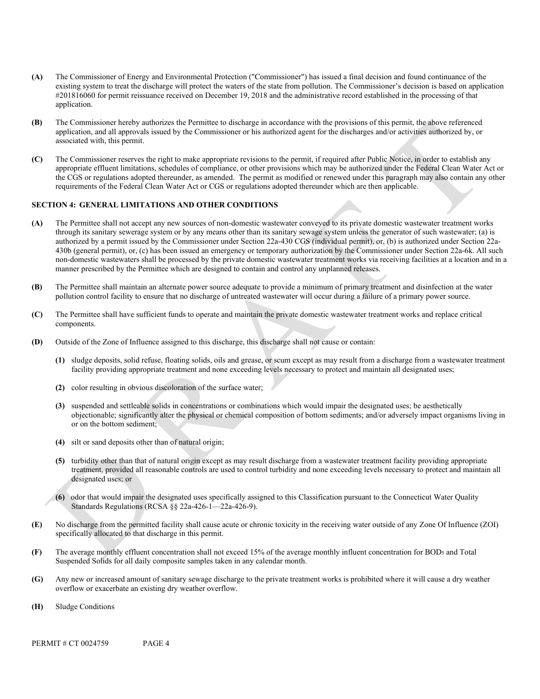- **(A)** The Commissioner of Energy and Environmental Protection ("Commissioner") has issued a final decision and found continuance of the existing system to treat the discharge will protect the waters of the state from pollution. The Commissioner's decision is based on application #201816060 for permit reissuance received on December 19, 2018 and the administrative record established in the processing of that application.
- **(B)** The Commissioner hereby authorizes the Permittee to discharge in accordance with the provisions of this permit, the above referenced application, and all approvals issued by the Commissioner or his authorized agent for the discharges and/or activities authorized by, or associated with, this permit.
- **(C)** The Commissioner reserves the right to make appropriate revisions to the permit, if required after Public Notice, in order to establish any appropriate effluent limitations, schedules of compliance, or other provisions which may be authorized under the Federal Clean Water Act or the CGS or regulations adopted thereunder, as amended. The permit as modified or renewed under this paragraph may also contain any other requirements of the Federal Clean Water Act or CGS or regulations adopted thereunder which are then applicable.

#### **SECTION 4: GENERAL LIMITATIONS AND OTHER CONDITIONS**

- **(A)** The Permittee shall not accept any new sources of non-domestic wastewater conveyed to its private domestic wastewater treatment works through its sanitary sewerage system or by any means other than its sanitary sewage system unless the generator of such wastewater; (a) is authorized by a permit issued by the Commissioner under Section 22a-430 CGS (individual permit), or, (b) is authorized under Section 22a-430b (general permit), or, (c) has been issued an emergency or temporary authorization by the Commissioner under Section 22a-6k. All such non-domestic wastewaters shall be processed by the private domestic wastewater treatment works via receiving facilities at a location and in a manner prescribed by the Permittee which are designed to contain and control any unplanned releases.
- **(B)** The Permittee shall maintain an alternate power source adequate to provide a minimum of primary treatment and disinfection at the water pollution control facility to ensure that no discharge of untreated wastewater will occur during a failure of a primary power source.
- **(C)** The Permittee shall have sufficient funds to operate and maintain the private domestic wastewater treatment works and replace critical components.
- **(D)** Outside of the Zone of Influence assigned to this discharge, this discharge shall not cause or contain:
	- **(1)** sludge deposits, solid refuse, floating solids, oils and grease, or scum except as may result from a discharge from a wastewater treatment facility providing appropriate treatment and none exceeding levels necessary to protect and maintain all designated uses;
	- **(2)** color resulting in obvious discoloration of the surface water;
	- **(3)** suspended and settleable solids in concentrations or combinations which would impair the designated uses; be aesthetically objectionable; significantly alter the physical or chemical composition of bottom sediments; and/or adversely impact organisms living in or on the bottom sediment;
	- **(4)** silt or sand deposits other than of natural origin;
	- **(5)** turbidity other than that of natural origin except as may result discharge from a wastewater treatment facility providing appropriate treatment, provided all reasonable controls are used to control turbidity and none exceeding levels necessary to protect and maintain all designated uses; or
	- **(6)** odor that would impair the designated uses specifically assigned to this Classification pursuant to the Connecticut Water Quality Standards Regulations (RCSA §§ 22a-426-1—22a-426-9).
- **(E)** No discharge from the permitted facility shall cause acute or chronic toxicity in the receiving water outside of any Zone Of Influence (ZOI) specifically allocated to that discharge in this permit.
- **(F)** The average monthly effluent concentration shall not exceed 15% of the average monthly influent concentration for BOD5 and Total Suspended Solids for all daily composite samples taken in any calendar month.
- **(G)** Any new or increased amount of sanitary sewage discharge to the private treatment works is prohibited where it will cause a dry weather overflow or exacerbate an existing dry weather overflow.
- **(H)** Sludge Conditions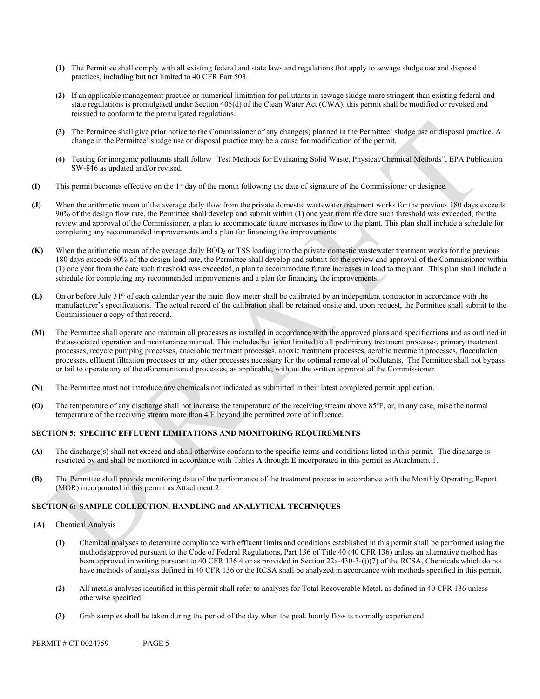- **(1)** The Permittee shall comply with all existing federal and state laws and regulations that apply to sewage sludge use and disposal practices, including but not limited to 40 CFR Part 503.
- **(2)** If an applicable management practice or numerical limitation for pollutants in sewage sludge more stringent than existing federal and state regulations is promulgated under Section 405(d) of the Clean Water Act (CWA), this permit shall be modified or revoked and reissued to conform to the promulgated regulations.
- **(3)** The Permittee shall give prior notice to the Commissioner of any change(s) planned in the Permittee' sludge use or disposal practice. A change in the Permittee' sludge use or disposal practice may be a cause for modification of the permit.
- **(4)** Testing for inorganic pollutants shall follow "Test Methods for Evaluating Solid Waste, Physical/Chemical Methods", EPA Publication SW-846 as updated and/or revised.
- **(I)** This permit becomes effective on the 1st day of the month following the date of signature of the Commissioner or designee.
- **(J)** When the arithmetic mean of the average daily flow from the private domestic wastewater treatment works for the previous 180 days exceeds 90% of the design flow rate, the Permittee shall develop and submit within (1) one year from the date such threshold was exceeded, for the review and approval of the Commissioner, a plan to accommodate future increases in flow to the plant. This plan shall include a schedule for completing any recommended improvements and a plan for financing the improvements.
- **(K)** When the arithmetic mean of the average daily BOD5 or TSS loading into the private domestic wastewater treatment works for the previous 180 days exceeds 90% of the design load rate, the Permittee shall develop and submit for the review and approval of the Commissioner within (1) one year from the date such threshold was exceeded, a plan to accommodate future increases in load to the plant. This plan shall include a schedule for completing any recommended improvements and a plan for financing the improvements.
- **(L)** On or before July 31st of each calendar year the main flow meter shall be calibrated by an independent contractor in accordance with the manufacturer's specifications. The actual record of the calibration shall be retained onsite and, upon request, the Permittee shall submit to the Commissioner a copy of that record.
- **(M)** The Permittee shall operate and maintain all processes as installed in accordance with the approved plans and specifications and as outlined in the associated operation and maintenance manual. This includes but is not limited to all preliminary treatment processes, primary treatment processes, recycle pumping processes, anaerobic treatment processes, anoxic treatment processes, aerobic treatment processes, flocculation processes, effluent filtration processes or any other processes necessary for the optimal removal of pollutants. The Permittee shall not bypass or fail to operate any of the aforementioned processes, as applicable, without the written approval of the Commissioner.
- **(N)** The Permittee must not introduce any chemicals not indicated as submitted in their latest completed permit application.
- **(O)** The temperature of any discharge shall not increase the temperature of the receiving stream above 85ºF, or, in any case, raise the normal temperature of the receiving stream more than 4ºF beyond the permitted zone of influence.

## **SECTION 5: SPECIFIC EFFLUENT LIMITATIONS AND MONITORING REQUIREMENTS**

- **(A)** The discharge(s) shall not exceed and shall otherwise conform to the specific terms and conditions listed in this permit. The discharge is restricted by and shall be monitored in accordance with Tables **A** through **E** incorporated in this permit as Attachment 1.
- **(B)** The Permittee shall provide monitoring data of the performance of the treatment process in accordance with the Monthly Operating Report (MOR) incorporated in this permit as Attachment 2.

## **SECTION 6: SAMPLE COLLECTION, HANDLING and ANALYTICAL TECHNIQUES**

- **(A)** Chemical Analysis
	- **(1)** Chemical analyses to determine compliance with effluent limits and conditions established in this permit shall be performed using the methods approved pursuant to the Code of Federal Regulations, Part 136 of Title 40 (40 CFR 136) unless an alternative method has been approved in writing pursuant to 40 CFR 136.4 or as provided in Section 22a-430-3-(j)(7) of the RCSA. Chemicals which do not have methods of analysis defined in 40 CFR 136 or the RCSA shall be analyzed in accordance with methods specified in this permit.
	- **(2)** All metals analyses identified in this permit shall refer to analyses for Total Recoverable Metal, as defined in 40 CFR 136 unless otherwise specified.
	- **(3)** Grab samples shall be taken during the period of the day when the peak hourly flow is normally experienced.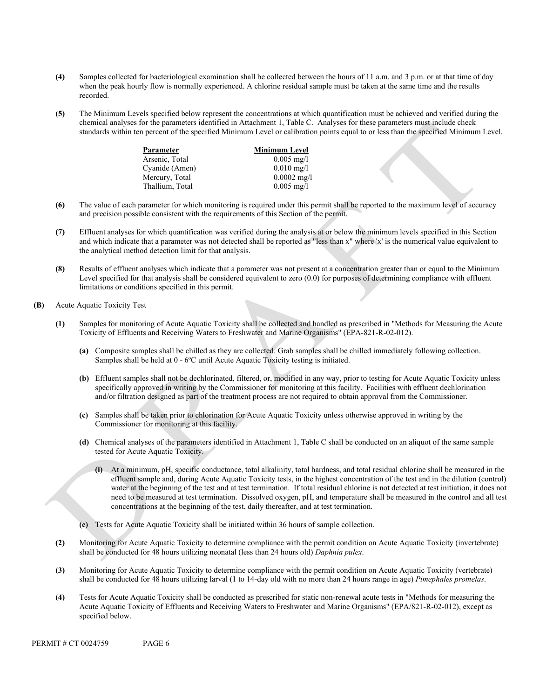- **(4)** Samples collected for bacteriological examination shall be collected between the hours of 11 a.m. and 3 p.m. or at that time of day when the peak hourly flow is normally experienced. A chlorine residual sample must be taken at the same time and the results recorded.
- **(5)** The Minimum Levels specified below represent the concentrations at which quantification must be achieved and verified during the chemical analyses for the parameters identified in Attachment 1, Table C. Analyses for these parameters must include check standards within ten percent of the specified Minimum Level or calibration points equal to or less than the specified Minimum Level.

| Parameter       | <b>Minimum Level</b> |
|-----------------|----------------------|
| Arsenic, Total  | $0.005 \text{ mg/l}$ |
| Cyanide (Amen)  | $0.010 \text{ mg}/1$ |
| Mercury, Total  | $0.0002$ mg/l        |
| Thallium, Total | $0.005 \text{ mg/l}$ |

- **(6)** The value of each parameter for which monitoring is required under this permit shall be reported to the maximum level of accuracy and precision possible consistent with the requirements of this Section of the permit.
- **(7)** Effluent analyses for which quantification was verified during the analysis at or below the minimum levels specified in this Section and which indicate that a parameter was not detected shall be reported as "less than x" where 'x' is the numerical value equivalent to the analytical method detection limit for that analysis.
- **(8)** Results of effluent analyses which indicate that a parameter was not present at a concentration greater than or equal to the Minimum Level specified for that analysis shall be considered equivalent to zero (0.0) for purposes of determining compliance with effluent limitations or conditions specified in this permit.
- **(B)** Acute Aquatic Toxicity Test
	- **(1)** Samples for monitoring of Acute Aquatic Toxicity shall be collected and handled as prescribed in "Methods for Measuring the Acute Toxicity of Effluents and Receiving Waters to Freshwater and Marine Organisms" (EPA-821-R-02-012).
		- **(a)** Composite samples shall be chilled as they are collected. Grab samples shall be chilled immediately following collection. Samples shall be held at 0 - 6ºC until Acute Aquatic Toxicity testing is initiated.
		- **(b)** Effluent samples shall not be dechlorinated, filtered, or, modified in any way, prior to testing for Acute Aquatic Toxicity unless specifically approved in writing by the Commissioner for monitoring at this facility. Facilities with effluent dechlorination and/or filtration designed as part of the treatment process are not required to obtain approval from the Commissioner.
		- **(c)** Samples shall be taken prior to chlorination for Acute Aquatic Toxicity unless otherwise approved in writing by the Commissioner for monitoring at this facility.
		- **(d)** Chemical analyses of the parameters identified in Attachment 1, Table C shall be conducted on an aliquot of the same sample tested for Acute Aquatic Toxicity.
			- **(i)** At a minimum, pH, specific conductance, total alkalinity, total hardness, and total residual chlorine shall be measured in the effluent sample and, during Acute Aquatic Toxicity tests, in the highest concentration of the test and in the dilution (control) water at the beginning of the test and at test termination. If total residual chlorine is not detected at test initiation, it does not need to be measured at test termination. Dissolved oxygen, pH, and temperature shall be measured in the control and all test concentrations at the beginning of the test, daily thereafter, and at test termination.
		- **(e)** Tests for Acute Aquatic Toxicity shall be initiated within 36 hours of sample collection.
	- **(2)** Monitoring for Acute Aquatic Toxicity to determine compliance with the permit condition on Acute Aquatic Toxicity (invertebrate) shall be conducted for 48 hours utilizing neonatal (less than 24 hours old) *Daphnia pulex*.
	- **(3)** Monitoring for Acute Aquatic Toxicity to determine compliance with the permit condition on Acute Aquatic Toxicity (vertebrate) shall be conducted for 48 hours utilizing larval (1 to 14-day old with no more than 24 hours range in age) *Pimephales promelas*.
	- **(4)** Tests for Acute Aquatic Toxicity shall be conducted as prescribed for static non-renewal acute tests in "Methods for measuring the Acute Aquatic Toxicity of Effluents and Receiving Waters to Freshwater and Marine Organisms" (EPA/821-R-02-012), except as specified below.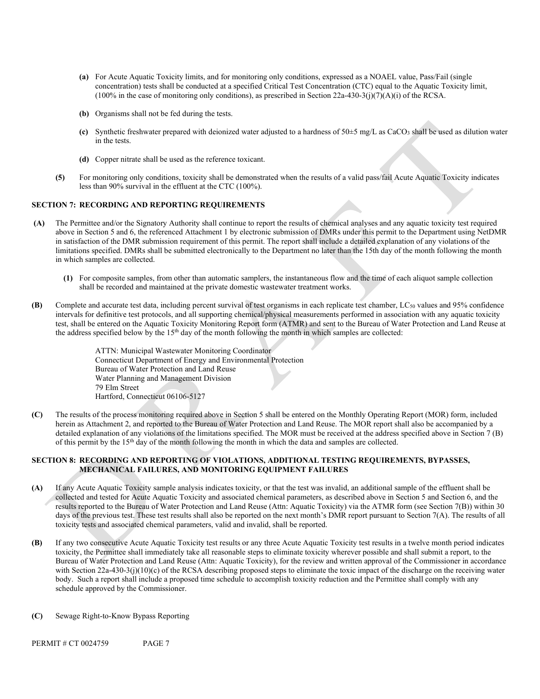- **(a)** For Acute Aquatic Toxicity limits, and for monitoring only conditions, expressed as a NOAEL value, Pass/Fail (single concentration) tests shall be conducted at a specified Critical Test Concentration (CTC) equal to the Aquatic Toxicity limit,  $(100\%$  in the case of monitoring only conditions), as prescribed in Section 22a-430-3(j)(7)(A)(i) of the RCSA.
- **(b)** Organisms shall not be fed during the tests.
- **(c)** Synthetic freshwater prepared with deionized water adjusted to a hardness of 50±5 mg/L as CaCO3 shall be used as dilution water in the tests.
- **(d)** Copper nitrate shall be used as the reference toxicant.
- **(5)** For monitoring only conditions, toxicity shall be demonstrated when the results of a valid pass/fail Acute Aquatic Toxicity indicates less than 90% survival in the effluent at the CTC (100%).

## **SECTION 7: RECORDING AND REPORTING REQUIREMENTS**

- **(A)** The Permittee and/or the Signatory Authority shall continue to report the results of chemical analyses and any aquatic toxicity test required above in Section 5 and 6, the referenced Attachment 1 by electronic submission of DMRs under this permit to the Department using NetDMR in satisfaction of the DMR submission requirement of this permit. The report shall include a detailed explanation of any violations of the limitations specified. DMRs shall be submitted electronically to the Department no later than the 15th day of the month following the month in which samples are collected.
	- **(1)** For composite samples, from other than automatic samplers, the instantaneous flow and the time of each aliquot sample collection shall be recorded and maintained at the private domestic wastewater treatment works.
- **(B)** Complete and accurate test data, including percent survival of test organisms in each replicate test chamber, LC<sub>50</sub> values and 95% confidence intervals for definitive test protocols, and all supporting chemical/physical measurements performed in association with any aquatic toxicity test, shall be entered on the Aquatic Toxicity Monitoring Report form (ATMR) and sent to the Bureau of Water Protection and Land Reuse at the address specified below by the  $15<sup>th</sup>$  day of the month following the month in which samples are collected:

ATTN: Municipal Wastewater Monitoring Coordinator Connecticut Department of Energy and Environmental Protection Bureau of Water Protection and Land Reuse Water Planning and Management Division 79 Elm Street Hartford, Connecticut 06106-5127

**(C)** The results of the process monitoring required above in Section 5 shall be entered on the Monthly Operating Report (MOR) form, included herein as Attachment 2, and reported to the Bureau of Water Protection and Land Reuse. The MOR report shall also be accompanied by a detailed explanation of any violations of the limitations specified. The MOR must be received at the address specified above in Section 7 (B) of this permit by the 15th day of the month following the month in which the data and samples are collected.

### **SECTION 8: RECORDING AND REPORTING OF VIOLATIONS, ADDITIONAL TESTING REQUIREMENTS, BYPASSES, MECHANICAL FAILURES, AND MONITORING EQUIPMENT FAILURES**

- **(A)** If any Acute Aquatic Toxicity sample analysis indicates toxicity, or that the test was invalid, an additional sample of the effluent shall be collected and tested for Acute Aquatic Toxicity and associated chemical parameters, as described above in Section 5 and Section 6, and the results reported to the Bureau of Water Protection and Land Reuse (Attn: Aquatic Toxicity) via the ATMR form (see Section 7(B)) within 30 days of the previous test. These test results shall also be reported on the next month's DMR report pursuant to Section 7(A). The results of all toxicity tests and associated chemical parameters, valid and invalid, shall be reported.
- **(B)** If any two consecutive Acute Aquatic Toxicity test results or any three Acute Aquatic Toxicity test results in a twelve month period indicates toxicity, the Permittee shall immediately take all reasonable steps to eliminate toxicity wherever possible and shall submit a report, to the Bureau of Water Protection and Land Reuse (Attn: Aquatic Toxicity), for the review and written approval of the Commissioner in accordance with Section 22a-430-3(j)(10)(c) of the RCSA describing proposed steps to eliminate the toxic impact of the discharge on the receiving water body. Such a report shall include a proposed time schedule to accomplish toxicity reduction and the Permittee shall comply with any schedule approved by the Commissioner.
- **(C)** Sewage Right-to-Know Bypass Reporting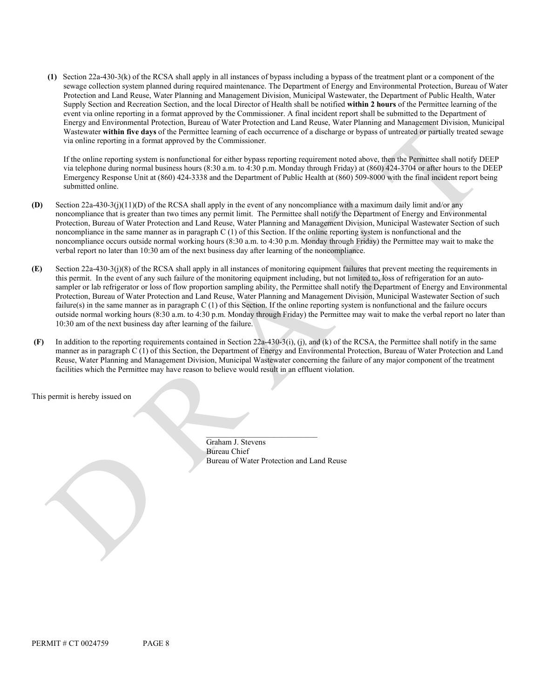**(1)** Section 22a-430-3(k) of the RCSA shall apply in all instances of bypass including a bypass of the treatment plant or a component of the sewage collection system planned during required maintenance. The Department of Energy and Environmental Protection, Bureau of Water Protection and Land Reuse, Water Planning and Management Division, Municipal Wastewater, the Department of Public Health, Water Supply Section and Recreation Section, and the local Director of Health shall be notified **within 2 hours** of the Permittee learning of the event via online reporting in a format approved by the Commissioner. A final incident report shall be submitted to the Department of Energy and Environmental Protection, Bureau of Water Protection and Land Reuse, Water Planning and Management Division, Municipal Wastewater **within five days** of the Permittee learning of each occurrence of a discharge or bypass of untreated or partially treated sewage via online reporting in a format approved by the Commissioner.

If the online reporting system is nonfunctional for either bypass reporting requirement noted above, then the Permittee shall notify DEEP via telephone during normal business hours (8:30 a.m. to 4:30 p.m. Monday through Friday) at (860) 424-3704 or after hours to the DEEP Emergency Response Unit at (860) 424-3338 and the Department of Public Health at (860) 509-8000 with the final incident report being submitted online.

- **(D)** Section 22a-430-3(j)(11)(D) of the RCSA shall apply in the event of any noncompliance with a maximum daily limit and/or any noncompliance that is greater than two times any permit limit. The Permittee shall notify the Department of Energy and Environmental Protection, Bureau of Water Protection and Land Reuse, Water Planning and Management Division, Municipal Wastewater Section of such noncompliance in the same manner as in paragraph C (1) of this Section. If the online reporting system is nonfunctional and the noncompliance occurs outside normal working hours (8:30 a.m. to 4:30 p.m. Monday through Friday) the Permittee may wait to make the verbal report no later than 10:30 am of the next business day after learning of the noncompliance.
- **(E)** Section 22a-430-3(j)(8) of the RCSA shall apply in all instances of monitoring equipment failures that prevent meeting the requirements in this permit. In the event of any such failure of the monitoring equipment including, but not limited to, loss of refrigeration for an autosampler or lab refrigerator or loss of flow proportion sampling ability, the Permittee shall notify the Department of Energy and Environmental Protection, Bureau of Water Protection and Land Reuse, Water Planning and Management Division, Municipal Wastewater Section of such failure(s) in the same manner as in paragraph C (1) of this Section. If the online reporting system is nonfunctional and the failure occurs outside normal working hours (8:30 a.m. to 4:30 p.m. Monday through Friday) the Permittee may wait to make the verbal report no later than 10:30 am of the next business day after learning of the failure.
- **(F)** In addition to the reporting requirements contained in Section 22a-430-3(i), (j), and (k) of the RCSA, the Permittee shall notify in the same manner as in paragraph C (1) of this Section, the Department of Energy and Environmental Protection, Bureau of Water Protection and Land Reuse, Water Planning and Management Division, Municipal Wastewater concerning the failure of any major component of the treatment facilities which the Permittee may have reason to believe would result in an effluent violation.

This permit is hereby issued on

Graham J. Stevens Bureau Chief Bureau of Water Protection and Land Reuse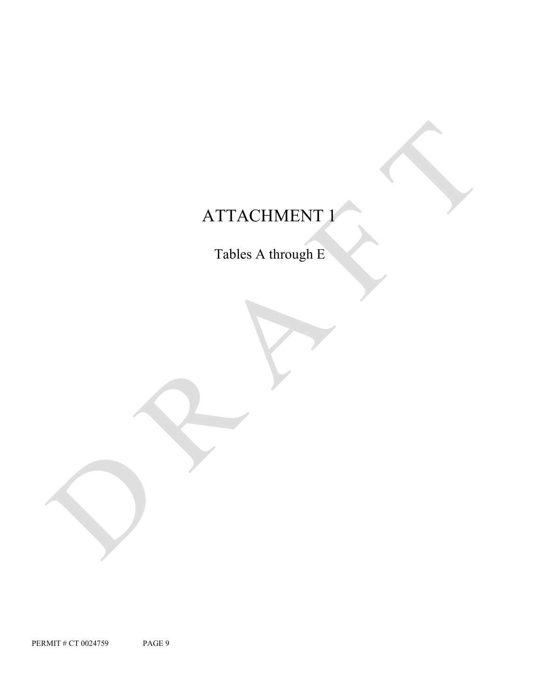# ATTACHMENT 1

Tables A through E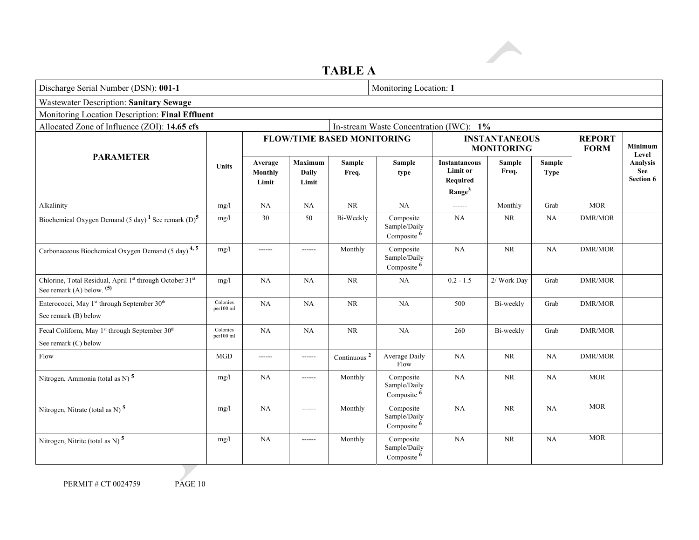# **TABLE A**

| Discharge Serial Number (DSN): 001-1                                                  |                       |                                    |                                   |                         | Monitoring Location: 1                              |                                                                           |                 |                       |                              |                                            |
|---------------------------------------------------------------------------------------|-----------------------|------------------------------------|-----------------------------------|-------------------------|-----------------------------------------------------|---------------------------------------------------------------------------|-----------------|-----------------------|------------------------------|--------------------------------------------|
| <b>Wastewater Description: Sanitary Sewage</b>                                        |                       |                                    |                                   |                         |                                                     |                                                                           |                 |                       |                              |                                            |
| Monitoring Location Description: Final Effluent                                       |                       |                                    |                                   |                         |                                                     |                                                                           |                 |                       |                              |                                            |
| Allocated Zone of Influence (ZOI): 14.65 cfs                                          |                       |                                    |                                   |                         | In-stream Waste Concentration (IWC): 1%             |                                                                           |                 |                       |                              |                                            |
|                                                                                       |                       |                                    | <b>FLOW/TIME BASED MONITORING</b> |                         |                                                     | <b>INSTANTANEOUS</b><br><b>MONITORING</b>                                 |                 |                       | <b>REPORT</b><br><b>FORM</b> | <b>Minimum</b><br>Level                    |
| <b>PARAMETER</b><br><b>Units</b>                                                      |                       | Average<br><b>Monthly</b><br>Limit | Maximum<br><b>Daily</b><br>Limit  | <b>Sample</b><br>Freq.  | Sample<br>type                                      | <b>Instantaneous</b><br><b>Limit or</b><br>Required<br>Range <sup>3</sup> | Sample<br>Freq. | Sample<br><b>Type</b> |                              | Analysis<br><b>See</b><br><b>Section 6</b> |
| Alkalinity                                                                            | mg/l                  | <b>NA</b>                          | NA                                | $\rm NR$                | NA                                                  |                                                                           | Monthly         | Grab                  | <b>MOR</b>                   |                                            |
| Biochemical Oxygen Demand (5 day) <sup>1</sup> See remark (D) <sup>5</sup>            | mg/1                  | 30                                 | 50                                | Bi-Weekly               | Composite<br>Sample/Daily<br>Composite <sup>6</sup> | NA                                                                        | <b>NR</b>       | <b>NA</b>             | DMR/MOR                      |                                            |
| Carbonaceous Biochemical Oxygen Demand (5 day) <sup>4,5</sup>                         | mg/l                  | ------                             | ------                            | Monthly                 | Composite<br>Sample/Daily<br>Composite <sup>6</sup> | <b>NA</b>                                                                 | NR              | <b>NA</b>             | <b>DMR/MOR</b>               |                                            |
| Chlorine, Total Residual, April 1st through October 31st<br>See remark (A) below. (5) | mg/l                  | <b>NA</b>                          | <b>NA</b>                         | $\rm NR$                | NA                                                  | $0.2 - 1.5$                                                               | 2/ Work Day     | Grab                  | DMR/MOR                      |                                            |
| Enterococci, May 1st through September 30th<br>See remark (B) below                   | Colonies<br>per100 ml | NA                                 | NA                                | $\rm NR$                | NA                                                  | 500                                                                       | Bi-weekly       | Grab                  | <b>DMR/MOR</b>               |                                            |
| Fecal Coliform, May 1st through September 30th<br>See remark (C) below                | Colonies<br>per100 ml | NA                                 | NA                                | NR                      | NA                                                  | 260                                                                       | Bi-weekly       | Grab                  | <b>DMR/MOR</b>               |                                            |
| Flow                                                                                  | MGD                   | $- - - - - -$                      | $- - - - - -$                     | Continuous <sup>2</sup> | Average Daily<br>Flow                               | <b>NA</b>                                                                 | <b>NR</b>       | NA                    | <b>DMR/MOR</b>               |                                            |
| Nitrogen, Ammonia (total as N) $5$                                                    | mg/l                  | NA                                 | ------                            | Monthly                 | Composite<br>Sample/Daily<br>Composite <sup>6</sup> | <b>NA</b>                                                                 | $\rm NR$        | NA                    | <b>MOR</b>                   |                                            |
| Nitrogen, Nitrate (total as N) <sup>5</sup>                                           | mg/l                  | NA                                 | ------                            | Monthly                 | Composite<br>Sample/Daily<br>Composite <sup>6</sup> | <b>NA</b>                                                                 | $\rm NR$        | NA                    | <b>MOR</b>                   |                                            |
| Nitrogen, Nitrite (total as N) $^5$                                                   | mg/l                  | NA                                 | ------                            | Monthly                 | Composite<br>Sample/Daily<br>Composite <sup>6</sup> | <b>NA</b>                                                                 | <b>NR</b>       | <b>NA</b>             | <b>MOR</b>                   |                                            |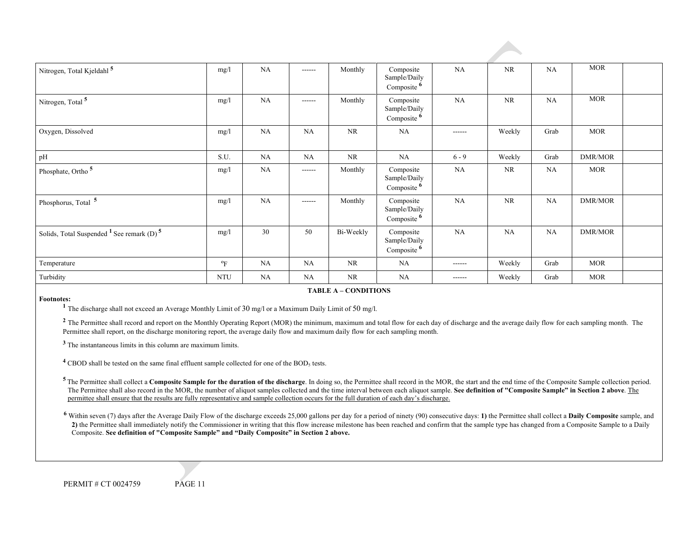| Nitrogen, Total Kjeldahl <sup>5</sup>                   | mg/l       | <b>NA</b> | $- - - - - -$ | Monthly   | Composite<br>Sample/Daily<br>Composite <sup>6</sup> | <b>NA</b>     | <b>NR</b> | NA        | <b>MOR</b>           |  |
|---------------------------------------------------------|------------|-----------|---------------|-----------|-----------------------------------------------------|---------------|-----------|-----------|----------------------|--|
| Nitrogen, Total <sup>5</sup>                            | mg/l       | NA        | $- - - - - -$ | Monthly   | Composite<br>Sample/Daily<br>Composite 6            | NA            | <b>NR</b> | NA        | <b>MOR</b>           |  |
| Oxygen, Dissolved                                       | mg/1       | <b>NA</b> | <b>NA</b>     | $\rm NR$  | <b>NA</b>                                           | $- - - - - -$ | Weekly    | Grab      | $\operatorname{MOR}$ |  |
| pH                                                      | S.U.       | <b>NA</b> | <b>NA</b>     | <b>NR</b> | NA                                                  | $6 - 9$       | Weekly    | Grab      | DMR/MOR              |  |
| Phosphate, Ortho <sup>5</sup>                           | mg/l       | <b>NA</b> | $- - - - - -$ | Monthly   | Composite<br>Sample/Daily<br>Composite <sup>6</sup> | NA            | <b>NR</b> | NA        | <b>MOR</b>           |  |
| Phosphorus, Total <sup>5</sup>                          | mg/l       | NA        | $- - - - - -$ | Monthly   | Composite<br>Sample/Daily<br>Composite <sup>6</sup> | NA            | <b>NR</b> | <b>NA</b> | DMR/MOR              |  |
| Solids, Total Suspended $1$ See remark (D) <sup>5</sup> | mg/l       | 30        | 50            | Bi-Weekly | Composite<br>Sample/Daily<br>Composite 6            | NA            | <b>NA</b> | NA        | <b>DMR/MOR</b>       |  |
| Temperature                                             | $\rm ^oF$  | <b>NA</b> | <b>NA</b>     | NR        | <b>NA</b>                                           | $- - - - - -$ | Weekly    | Grab      | <b>MOR</b>           |  |
| Turbidity                                               | <b>NTU</b> | <b>NA</b> | <b>NA</b>     | <b>NR</b> | NA                                                  | $- - - - - -$ | Weekly    | Grab      | <b>MOR</b>           |  |

#### **Footnotes:**

#### **TABLE A – CONDITIONS**

**<sup>1</sup>** The discharge shall not exceed an Average Monthly Limit of 30 mg/l or a Maximum Daily Limit of 50 mg/l.

<sup>2</sup> The Permittee shall record and report on the Monthly Operating Report (MOR) the minimum, maximum and total flow for each day of discharge and the average daily flow for each sampling month. The Permittee shall report, on the discharge monitoring report, the average daily flow and maximum daily flow for each sampling month.

**<sup>3</sup>** The instantaneous limits in this column are maximum limits.

<sup>4</sup> CBOD shall be tested on the same final effluent sample collected for one of the BOD<sub>5</sub> tests.

<sup>5</sup> The Permittee shall collect a Composite Sample for the duration of the discharge. In doing so, the Permittee shall record in the MOR, the start and the end time of the Composite Sample collection period. The Permittee shall also record in the MOR, the number of aliquot samples collected and the time interval between each aliquot sample. **See definition of "Composite Sample" in Section 2 above**. The permittee shall ensure that the results are fully representative and sample collection occurs for the full duration of each day's discharge.

6 Within seven (7) days after the Average Daily Flow of the discharge exceeds 25,000 gallons per day for a period of ninety (90) consecutive days: 1) the Permittee shall collect a **Daily Composite** sample, and **2)** the Permittee shall immediately notify the Commissioner in writing that this flow increase milestone has been reached and confirm that the sample type has changed from a Composite Sample to a Daily Composite. **See definition of "Composite Sample" and "Daily Composite" in Section 2 above.**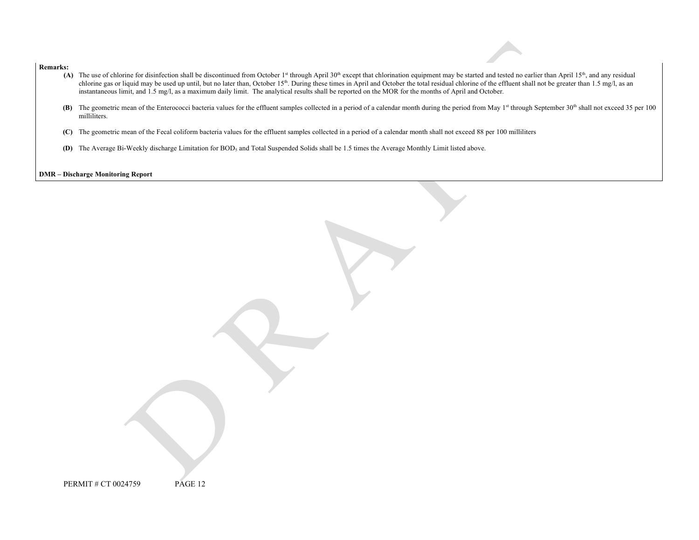#### **Remarks:**

- (A) The use of chlorine for disinfection shall be discontinued from October 1<sup>st</sup> through April 30<sup>th</sup> except that chlorination equipment may be started and tested no earlier than April 15<sup>th</sup>, and any residual chlorine gas or liquid may be used up until, but no later than, October 15<sup>th</sup>. During these times in April and October the total residual chlorine of the effluent shall not be greater than 1.5 mg/l, as an instantaneous limit, and 1.5 mg/l, as a maximum daily limit. The analytical results shall be reported on the MOR for the months of April and October.
- (B) The geometric mean of the Enterococci bacteria values for the effluent samples collected in a period of a calendar month during the period from May 1<sup>st</sup> through September 30<sup>th</sup> shall not exceed 35 per 100 milliliters.
- **(C)** The geometric mean of the Fecal coliform bacteria values for the effluent samples collected in a period of a calendar month shall not exceed 88 per 100 milliliters
- **(D)** The Average Bi-Weekly discharge Limitation for BOD<sub>5</sub> and Total Suspended Solids shall be 1.5 times the Average Monthly Limit listed above.

**DMR – Discharge Monitoring Report**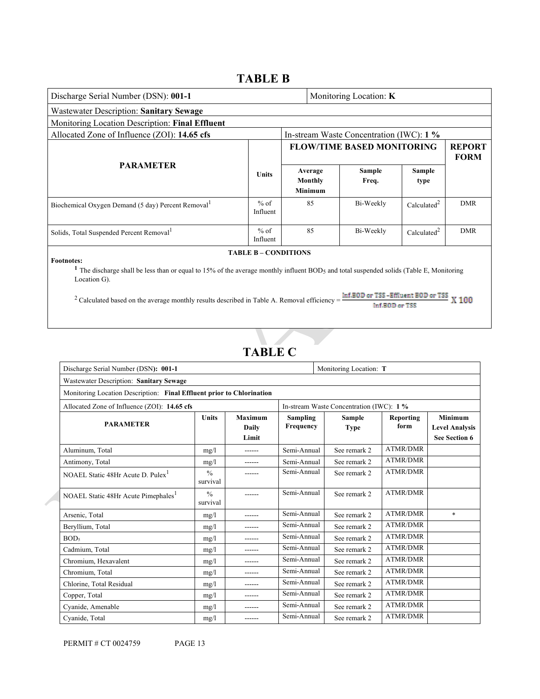# **TABLE B**

| Discharge Serial Number (DSN): 001-1<br>Monitoring Location: K                                                                                                                                                                                                                                                                                                                                                  |                    |                                             |  |                                          |                         |                              |
|-----------------------------------------------------------------------------------------------------------------------------------------------------------------------------------------------------------------------------------------------------------------------------------------------------------------------------------------------------------------------------------------------------------------|--------------------|---------------------------------------------|--|------------------------------------------|-------------------------|------------------------------|
| <b>Wastewater Description: Sanitary Sewage</b>                                                                                                                                                                                                                                                                                                                                                                  |                    |                                             |  |                                          |                         |                              |
| Monitoring Location Description: Final Effluent                                                                                                                                                                                                                                                                                                                                                                 |                    |                                             |  |                                          |                         |                              |
| Allocated Zone of Influence (ZOI): 14.65 cfs                                                                                                                                                                                                                                                                                                                                                                    |                    |                                             |  | In-stream Waste Concentration (IWC): 1 % |                         |                              |
|                                                                                                                                                                                                                                                                                                                                                                                                                 |                    |                                             |  | <b>FLOW/TIME BASED MONITORING</b>        |                         | <b>REPORT</b><br><b>FORM</b> |
| <b>PARAMETER</b>                                                                                                                                                                                                                                                                                                                                                                                                | <b>Units</b>       | Average<br><b>Monthly</b><br><b>Minimum</b> |  | <b>Sample</b><br>Freq.                   | <b>Sample</b><br>type   |                              |
| Biochemical Oxygen Demand (5 day) Percent Removal <sup>1</sup>                                                                                                                                                                                                                                                                                                                                                  | $%$ of<br>Influent | 85                                          |  | Bi-Weekly                                | Calculated <sup>2</sup> | <b>DMR</b>                   |
| Solids, Total Suspended Percent Removal <sup>1</sup>                                                                                                                                                                                                                                                                                                                                                            | $%$ of<br>Influent | 85                                          |  | Bi-Weekly                                | Calculated <sup>2</sup> | <b>DMR</b>                   |
| <b>TABLE B - CONDITIONS</b><br><b>Footnotes:</b><br><sup>1</sup> The discharge shall be less than or equal to 15% of the average monthly influent BOD <sub>5</sub> and total suspended solids (Table E, Monitoring<br>Location G).<br>Inf.BOD or TSS-Effluent BOD or TSS<br>X 100<br><sup>2</sup> Calculated based on the average monthly results described in Table A. Removal efficiency =<br>Inf.BBID or TSS |                    |                                             |  |                                          |                         |                              |
| Discharge Serial Number (DSN): 001-1                                                                                                                                                                                                                                                                                                                                                                            | <b>TABLE C</b>     |                                             |  | Monitoring Location: T                   |                         |                              |
| Wastewater Description: Sanitary Sewage                                                                                                                                                                                                                                                                                                                                                                         |                    |                                             |  |                                          |                         |                              |
| Monitoring Location Description: Final Effluent prior to Chlorination                                                                                                                                                                                                                                                                                                                                           |                    |                                             |  |                                          |                         |                              |
|                                                                                                                                                                                                                                                                                                                                                                                                                 |                    |                                             |  |                                          |                         |                              |

| Allocated Zone of Influence (ZOI): 14.65 cfs    |                           |                           |                              | In-stream Waste Concentration (IWC): 1 % |                   |                                                          |
|-------------------------------------------------|---------------------------|---------------------------|------------------------------|------------------------------------------|-------------------|----------------------------------------------------------|
| <b>PARAMETER</b>                                | Units                     | Maximum<br>Daily<br>Limit | <b>Sampling</b><br>Frequency | <b>Sample</b><br><b>Type</b>             | Reporting<br>form | Minimum<br><b>Level Analysis</b><br><b>See Section 6</b> |
| Aluminum, Total                                 | mg/1                      | ------                    | Semi-Annual                  | See remark 2                             | <b>ATMR/DMR</b>   |                                                          |
| Antimony, Total                                 | mg/l                      | ------                    | Semi-Annual                  | See remark 2                             | ATMR/DMR          |                                                          |
| NOAEL Static 48Hr Acute D. Pulex <sup>1</sup>   | $\frac{0}{0}$<br>survival |                           | Semi-Annual                  | See remark 2                             | <b>ATMR/DMR</b>   |                                                          |
| NOAEL Static 48Hr Acute Pimephales <sup>1</sup> | $\frac{0}{0}$<br>survival |                           | Semi-Annual                  | See remark 2                             | ATMR/DMR          |                                                          |
| Arsenic, Total                                  | mg/1                      |                           | Semi-Annual                  | See remark 2                             | <b>ATMR/DMR</b>   | $\ast$                                                   |
| Beryllium, Total                                | mg/l                      | ------                    | Semi-Annual                  | See remark 2                             | <b>ATMR/DMR</b>   |                                                          |
| BOD <sub>5</sub>                                | mg/1                      |                           | Semi-Annual                  | See remark 2                             | <b>ATMR/DMR</b>   |                                                          |
| Cadmium, Total                                  | mg/1                      | ------                    | Semi-Annual                  | See remark 2                             | <b>ATMR/DMR</b>   |                                                          |
| Chromium, Hexavalent                            | mg/1                      | ------                    | Semi-Annual                  | See remark 2                             | ATMR/DMR          |                                                          |
| Chromium, Total                                 | mg/1                      | ------                    | Semi-Annual                  | See remark 2                             | <b>ATMR/DMR</b>   |                                                          |
| Chlorine, Total Residual                        | mg/1                      | ------                    | Semi-Annual                  | See remark 2                             | <b>ATMR/DMR</b>   |                                                          |
| Copper, Total                                   | mg/1                      | ------                    | Semi-Annual                  | See remark 2                             | <b>ATMR/DMR</b>   |                                                          |
| Cyanide, Amenable                               | mg/1                      |                           | Semi-Annual                  | See remark 2                             | <b>ATMR/DMR</b>   |                                                          |
| Cyanide, Total                                  | mg/1                      | ------                    | Semi-Annual                  | See remark 2                             | <b>ATMR/DMR</b>   |                                                          |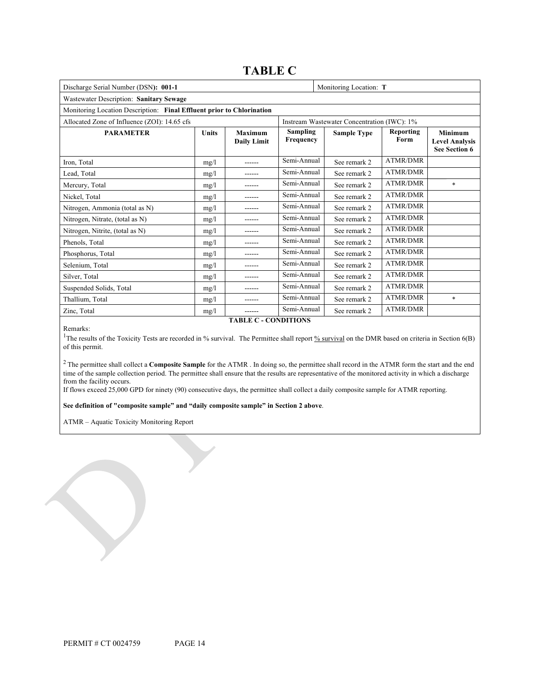# **TABLE C**

| Discharge Serial Number (DSN): 001-1                                  |              | Monitoring Location: T                      |                              |                    |                   |                                                                 |  |
|-----------------------------------------------------------------------|--------------|---------------------------------------------|------------------------------|--------------------|-------------------|-----------------------------------------------------------------|--|
| Wastewater Description: Sanitary Sewage                               |              |                                             |                              |                    |                   |                                                                 |  |
| Monitoring Location Description: Final Effluent prior to Chlorination |              |                                             |                              |                    |                   |                                                                 |  |
| Allocated Zone of Influence (ZOI): 14.65 cfs                          |              | Instream Wastewater Concentration (IWC): 1% |                              |                    |                   |                                                                 |  |
| <b>PARAMETER</b>                                                      | <b>Units</b> | <b>Maximum</b><br><b>Daily Limit</b>        | <b>Sampling</b><br>Frequency | <b>Sample Type</b> | Reporting<br>Form | <b>Minimum</b><br><b>Level Analysis</b><br><b>See Section 6</b> |  |
| Iron. Total                                                           | mg/l         | ------                                      | Semi-Annual                  | See remark 2       | <b>ATMR/DMR</b>   |                                                                 |  |
| Lead, Total                                                           | mg/1         |                                             | Semi-Annual                  | See remark 2       | <b>ATMR/DMR</b>   |                                                                 |  |
| Mercury, Total                                                        | mg/1         |                                             | Semi-Annual                  | See remark 2       | <b>ATMR/DMR</b>   | $\ast$                                                          |  |
| Nickel, Total                                                         | mg/1         |                                             | Semi-Annual                  | See remark 2       | ATMR/DMR          |                                                                 |  |
| Nitrogen, Ammonia (total as N)                                        | mg/1         | ------                                      | Semi-Annual                  | See remark 2       | <b>ATMR/DMR</b>   |                                                                 |  |
| Nitrogen, Nitrate, (total as N)                                       | mg/1         |                                             | Semi-Annual                  | See remark 2       | <b>ATMR/DMR</b>   |                                                                 |  |
| Nitrogen, Nitrite, (total as N)                                       | mg/1         |                                             | Semi-Annual                  | See remark 2       | <b>ATMR/DMR</b>   |                                                                 |  |
| Phenols, Total                                                        | mg/1         | ------                                      | Semi-Annual                  | See remark 2       | <b>ATMR/DMR</b>   |                                                                 |  |
| Phosphorus, Total                                                     | mg/1         |                                             | Semi-Annual                  | See remark 2       | <b>ATMR/DMR</b>   |                                                                 |  |
| Selenium. Total                                                       | mg/l         | ------                                      | Semi-Annual                  | See remark 2       | <b>ATMR/DMR</b>   |                                                                 |  |
| Silver, Total                                                         | mg/1         |                                             | Semi-Annual                  | See remark 2       | <b>ATMR/DMR</b>   |                                                                 |  |
| Suspended Solids, Total                                               | mg/l         | ------                                      | Semi-Annual                  | See remark 2       | <b>ATMR/DMR</b>   |                                                                 |  |
| Thallium, Total                                                       | mg/1         |                                             | Semi-Annual                  | See remark 2       | <b>ATMR/DMR</b>   | $\ast$                                                          |  |
| Zinc, Total                                                           | mg/1         | ------                                      | Semi-Annual                  | See remark 2       | <b>ATMR/DMR</b>   |                                                                 |  |

Remarks:

**TABLE C - CONDITIONS**

<sup>1</sup>The results of the Toxicity Tests are recorded in % survival. The Permittee shall report  $\frac{1}{26}$  survival on the DMR based on criteria in Section 6(B) of this permit.

<sup>2</sup> The permittee shall collect a **Composite Sample** for the ATMR . In doing so, the permittee shall record in the ATMR form the start and the end time of the sample collection period. The permittee shall ensure that the results are representative of the monitored activity in which a discharge from the facility occurs.

If flows exceed 25,000 GPD for ninety (90) consecutive days, the permittee shall collect a daily composite sample for ATMR reporting.

**See definition of "composite sample" and "daily composite sample" in Section 2 above**.

ATMR – Aquatic Toxicity Monitoring Report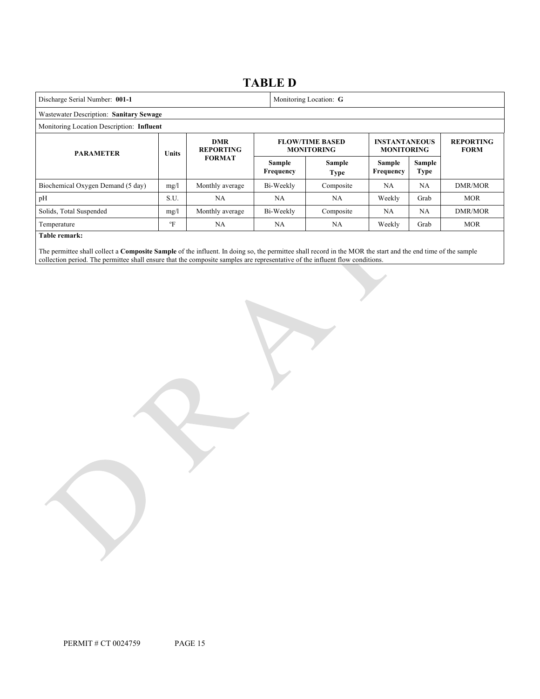|                                           |             |                                | <b>TABLE D</b>                              |                            |                                           |      |                                 |
|-------------------------------------------|-------------|--------------------------------|---------------------------------------------|----------------------------|-------------------------------------------|------|---------------------------------|
| Discharge Serial Number: 001-1            |             | Monitoring Location: G         |                                             |                            |                                           |      |                                 |
| Wastewater Description: Sanitary Sewage   |             |                                |                                             |                            |                                           |      |                                 |
| Monitoring Location Description: Influent |             |                                |                                             |                            |                                           |      |                                 |
| <b>PARAMETER</b>                          | Units       | <b>DMR</b><br><b>REPORTING</b> | <b>FLOW/TIME BASED</b><br><b>MONITORING</b> |                            | <b>INSTANTANEOUS</b><br><b>MONITORING</b> |      | <b>REPORTING</b><br><b>FORM</b> |
| <b>FORMAT</b>                             |             | Sample<br>Frequency            | <b>Sample</b><br><b>Type</b>                | Sample<br><b>Frequency</b> | Sample<br>Type                            |      |                                 |
| Biochemical Oxygen Demand (5 day)         | mg/1        | Monthly average                | Bi-Weekly                                   | Composite                  | <b>NA</b>                                 | NA   | DMR/MOR                         |
| pH                                        | S.U.        | <b>NA</b>                      | <b>NA</b>                                   | NA.                        | Weekly                                    | Grab | <b>MOR</b>                      |
| Solids, Total Suspended                   | mg/1        | Monthly average                | Bi-Weekly                                   | Composite                  | <b>NA</b>                                 | NA   | DMR/MOR                         |
| Temperature                               | $\rm ^{o}F$ | NA.                            | <b>NA</b>                                   | NA.                        | Weekly                                    | Grab | <b>MOR</b>                      |
| Table remark:                             |             |                                |                                             |                            |                                           |      |                                 |

The permittee shall collect a **Composite Sample** of the influent. In doing so, the permittee shall record in the MOR the start and the end time of the sample collection period. The permittee shall ensure that the composite samples are representative of the influent flow conditions.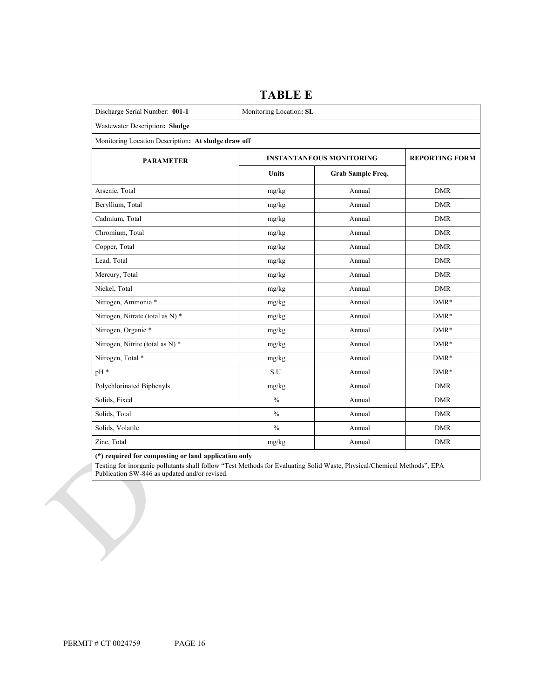| Discharge Serial Number: 001-1                      | Monitoring Location: SL         |                       |            |  |  |
|-----------------------------------------------------|---------------------------------|-----------------------|------------|--|--|
| Wastewater Description: Sludge                      |                                 |                       |            |  |  |
| Monitoring Location Description: At sludge draw off |                                 |                       |            |  |  |
| <b>PARAMETER</b>                                    | <b>INSTANTANEOUS MONITORING</b> | <b>REPORTING FORM</b> |            |  |  |
|                                                     | Units                           | Grab Sample Freq.     |            |  |  |
| Arsenic, Total                                      | mg/kg                           | Annual                | <b>DMR</b> |  |  |
| Beryllium, Total                                    | mg/kg                           | Annual                | <b>DMR</b> |  |  |
| Cadmium, Total                                      | mg/kg                           | Annual                | <b>DMR</b> |  |  |
| Chromium, Total                                     | mg/kg                           | Annual                | <b>DMR</b> |  |  |
| Copper, Total                                       | $mg/kg$                         | Annual                | <b>DMR</b> |  |  |
| Lead, Total                                         | mg/kg                           | Annual                | <b>DMR</b> |  |  |
| Mercury, Total                                      | mg/kg                           | Annual                | <b>DMR</b> |  |  |
| Nickel, Total                                       | mg/kg                           | Annual                | <b>DMR</b> |  |  |
| Nitrogen, Ammonia *                                 | mg/kg                           | Annual                | $DMR*$     |  |  |
| Nitrogen, Nitrate (total as N) *                    | mg/kg                           | Annual                | $DMR*$     |  |  |
| Nitrogen, Organic *                                 | mg/kg                           | Annual                | $DMR*$     |  |  |
| Nitrogen, Nitrite (total as N) *                    | mg/kg                           | Annual                | $DMR*$     |  |  |
| Nitrogen, Total *                                   | mg/kg                           | Annual                | $DMR*$     |  |  |
| pH *                                                | S.U.                            | Annual                | $DMR*$     |  |  |
| Polychlorinated Biphenyls                           | mg/kg                           | Annual                | <b>DMR</b> |  |  |
| Solids, Fixed                                       | $\frac{0}{0}$                   | Annual                | <b>DMR</b> |  |  |
| Solids, Total                                       | $\frac{0}{0}$                   | Annual                | <b>DMR</b> |  |  |
| Solids, Volatile                                    | $\frac{0}{0}$                   | Annual                | <b>DMR</b> |  |  |
| Zinc, Total                                         | mg/kg                           | Annual                | <b>DMR</b> |  |  |

**TABLE E**

**(\*) required for composting or land application only** 

Testing for inorganic pollutants shall follow "Test Methods for Evaluating Solid Waste, Physical/Chemical Methods", EPA Publication SW-846 as updated and/or revised.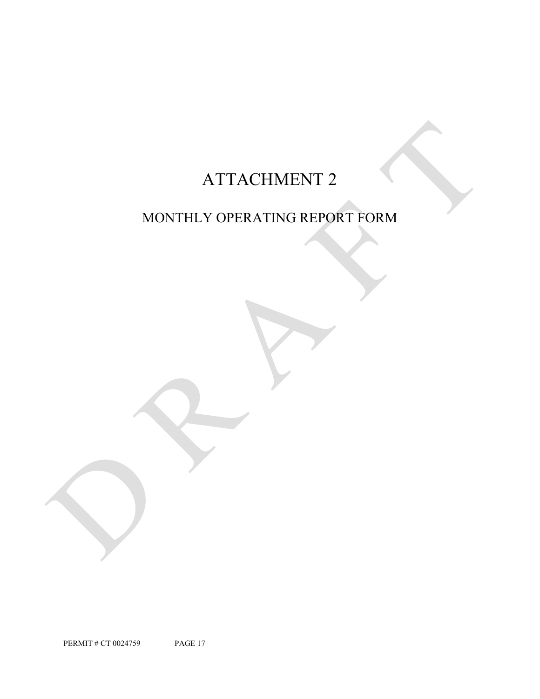# ATTACHMENT 2

# MONTHLY OPERATING REPORT FORM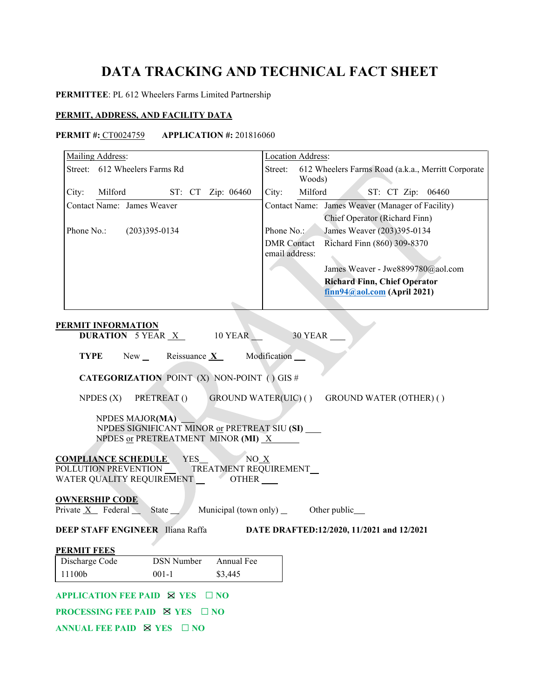# **DATA TRACKING AND TECHNICAL FACT SHEET**

# **PERMITTEE**: PL 612 Wheelers Farms Limited Partnership

# **PERMIT, ADDRESS, AND FACILITY DATA**

# **PERMIT #:** CT0024759 **APPLICATION #:** 201816060

| Mailing Address:                                                           | Location Address:                                                       |
|----------------------------------------------------------------------------|-------------------------------------------------------------------------|
| Street: 612 Wheelers Farms Rd                                              | 612 Wheelers Farms Road (a.k.a., Merritt Corporate<br>Street:<br>Woods) |
| City:<br>Milford ST: CT Zip: 06460                                         | Milford<br>City:<br>ST: CT Zip: 06460                                   |
| Contact Name: James Weaver                                                 | Contact Name: James Weaver (Manager of Facility)                        |
|                                                                            | Chief Operator (Richard Finn)                                           |
| Phone No.:<br>$(203)395 - 0134$                                            | James Weaver (203)395-0134<br>Phone No.:                                |
|                                                                            | Richard Finn (860) 309-8370<br><b>DMR</b> Contact                       |
|                                                                            | email address:                                                          |
|                                                                            | James Weaver - Jwe8899780@aol.com                                       |
|                                                                            | <b>Richard Finn, Chief Operator</b>                                     |
|                                                                            | $finn94@aol.com$ (April 2021)                                           |
|                                                                            |                                                                         |
| <b>PERMIT INFORMATION</b>                                                  |                                                                         |
| <b>DURATION 5 YEAR X 10 YEAR</b>                                           | 30 YEAR                                                                 |
|                                                                            |                                                                         |
| <b>TYPE</b><br>New<br>Reissuance $X$                                       | Modification __                                                         |
| <b>CATEGORIZATION POINT (X) NON-POINT () GIS #</b>                         |                                                                         |
| NPDES $(X)$<br>PRETREAT()                                                  | GROUND WATER(UIC) ()<br><b>GROUND WATER (OTHER) ()</b>                  |
| NPDES MAJOR(MA)                                                            |                                                                         |
| NPDES SIGNIFICANT MINOR or PRETREAT SIU (SI) ___                           |                                                                         |
| NPDES or PRETREATMENT MINOR (MI) $X$                                       |                                                                         |
| <b>COMPLIANCE SCHEDULE</b><br>YES_                                         | NO X                                                                    |
| POLLUTION PREVENTION                                                       | TREATMENT REQUIREMENT_                                                  |
| WATER QUALITY REQUIREMENT __________OTHER ______                           |                                                                         |
| <b>OWNERSHIP CODE</b>                                                      |                                                                         |
| Private X Federal State                                                    |                                                                         |
| DEEP STAFF ENGINEER Iliana Raffa                                           | DATE DRAFTED:12/2020, 11/2021 and 12/2021                               |
| <b>PERMIT FEES</b>                                                         |                                                                         |
| Annual Fee<br>Discharge Code<br><b>DSN</b> Number                          |                                                                         |
| 11100b<br>$001 - 1$<br>\$3,445                                             |                                                                         |
|                                                                            |                                                                         |
| <b>APPLICATION FEE PAID ⊠ YES</b><br>$\Box$ NO                             |                                                                         |
| <b>PROCESSING FEE PAID <math>\boxtimes</math> YES <math>\Box</math> NO</b> |                                                                         |
| <b>ANNUAL FEE PAID ⊠ YES</b><br>$\Box$ NO                                  |                                                                         |
|                                                                            |                                                                         |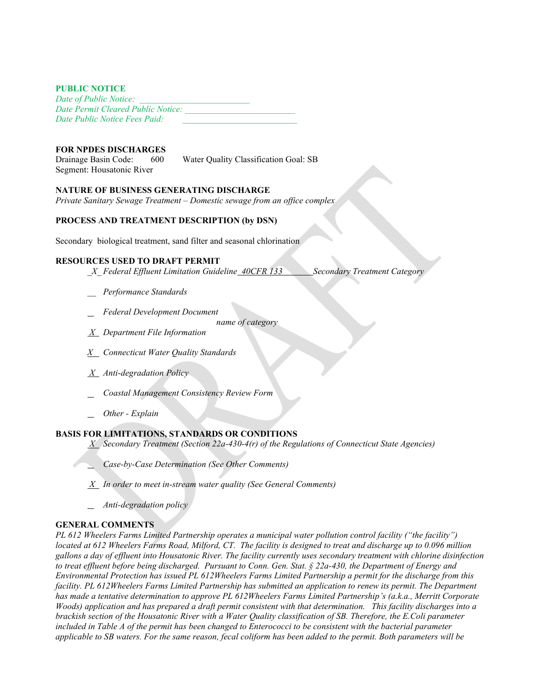## **PUBLIC NOTICE**

*Date of Public Notice: \_\_\_\_\_\_\_\_\_\_\_\_\_\_\_\_\_\_\_\_\_\_\_\_\_ Date Permit Cleared Public Notice: \_\_\_\_\_\_\_\_\_\_\_\_\_\_\_\_\_\_\_\_\_\_\_\_\_ Date Public Notice Fees Paid:* 

## **FOR NPDES DISCHARGES**

Drainage Basin Code: 600 Water Quality Classification Goal: SB Segment: Housatonic River

## **NATURE OF BUSINESS GENERATING DISCHARGE**

*Private Sanitary Sewage Treatment – Domestic sewage from an office complex*

# **PROCESS AND TREATMENT DESCRIPTION (by DSN)**

Secondary biological treatment, sand filter and seasonal chlorination

# **RESOURCES USED TO DRAFT PERMIT**

- *\_X\_ Federal Effluent Limitation Guideline 40CFR 133 Secondary Treatment Category*
- *\_\_ Performance Standards*
- *Federal Development Document*

 *name of category*

- *X Department File Information*
- *X Connecticut Water Quality Standards*
- *X Anti-degradation Policy*
- *Coastal Management Consistency Review Form*
- *Other Explain*

# **BASIS FOR LIMITATIONS, STANDARDS OR CONDITIONS**

- *X Secondary Treatment (Section 22a-430-4(r) of the Regulations of Connecticut State Agencies)*
- *Case-by-Case Determination (See Other Comments)*
- *X In order to meet in-stream water quality (See General Comments)*
- *Anti-degradation policy*

# **GENERAL COMMENTS**

*PL 612 Wheelers Farms Limited Partnership operates a municipal water pollution control facility ("the facility") located at 612 Wheelers Farms Road, Milford, CT. The facility is designed to treat and discharge up to 0.096 million gallons a day of effluent into Housatonic River. The facility currently uses secondary treatment with chlorine disinfection to treat effluent before being discharged. Pursuant to Conn. Gen. Stat. § 22a-430, the Department of Energy and Environmental Protection has issued PL 612Wheelers Farms Limited Partnership a permit for the discharge from this facility. PL 612Wheelers Farms Limited Partnership has submitted an application to renew its permit. The Department has made a tentative determination to approve PL 612Wheelers Farms Limited Partnership's (a.k.a., Merritt Corporate Woods) application and has prepared a draft permit consistent with that determination. This facility discharges into a brackish section of the Housatonic River with a Water Quality classification of SB. Therefore, the E.Coli parameter included in Table A of the permit has been changed to Enterococci to be consistent with the bacterial parameter applicable to SB waters. For the same reason, fecal coliform has been added to the permit. Both parameters will be*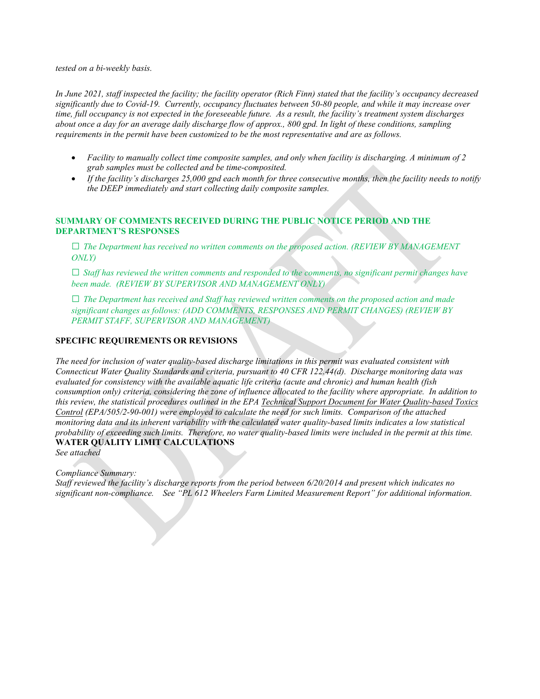*tested on a bi-weekly basis.*

*In June 2021, staff inspected the facility; the facility operator (Rich Finn) stated that the facility's occupancy decreased significantly due to Covid-19. Currently, occupancy fluctuates between 50-80 people, and while it may increase over time, full occupancy is not expected in the foreseeable future. As a result, the facility's treatment system discharges about once a day for an average daily discharge flow of approx., 800 gpd. In light of these conditions, sampling requirements in the permit have been customized to be the most representative and are as follows.* 

- *Facility to manually collect time composite samples, and only when facility is discharging. A minimum of 2 grab samples must be collected and be time-composited.*
- *If the facility's discharges 25,000 gpd each month for three consecutive months, then the facility needs to notify the DEEP immediately and start collecting daily composite samples.*

# **SUMMARY OF COMMENTS RECEIVED DURING THE PUBLIC NOTICE PERIOD AND THE DEPARTMENT'S RESPONSES**

**□** *The Department has received no written comments on the proposed action. (REVIEW BY MANAGEMENT ONLY)*

**□** *Staff has reviewed the written comments and responded to the comments, no significant permit changes have been made. (REVIEW BY SUPERVISOR AND MANAGEMENT ONLY)*

**□** *The Department has received and Staff has reviewed written comments on the proposed action and made significant changes as follows: (ADD COMMENTS, RESPONSES AND PERMIT CHANGES) (REVIEW BY PERMIT STAFF, SUPERVISOR AND MANAGEMENT)*

# **SPECIFIC REQUIREMENTS OR REVISIONS**

*The need for inclusion of water quality-based discharge limitations in this permit was evaluated consistent with Connecticut Water Quality Standards and criteria, pursuant to 40 CFR 122.44(d). Discharge monitoring data was evaluated for consistency with the available aquatic life criteria (acute and chronic) and human health (fish consumption only) criteria, considering the zone of influence allocated to the facility where appropriate. In addition to this review, the statistical procedures outlined in the EPA Technical Support Document for Water Quality-based Toxics Control (EPA/505/2-90-001) were employed to calculate the need for such limits. Comparison of the attached monitoring data and its inherent variability with the calculated water quality-based limits indicates a low statistical probability of exceeding such limits. Therefore, no water quality-based limits were included in the permit at this time.* **WATER QUALITY LIMIT CALCULATIONS**

*See attached*

## *Compliance Summary:*

*Staff reviewed the facility's discharge reports from the period between 6/20/2014 and present which indicates no significant non-compliance. See "PL 612 Wheelers Farm Limited Measurement Report" for additional information.*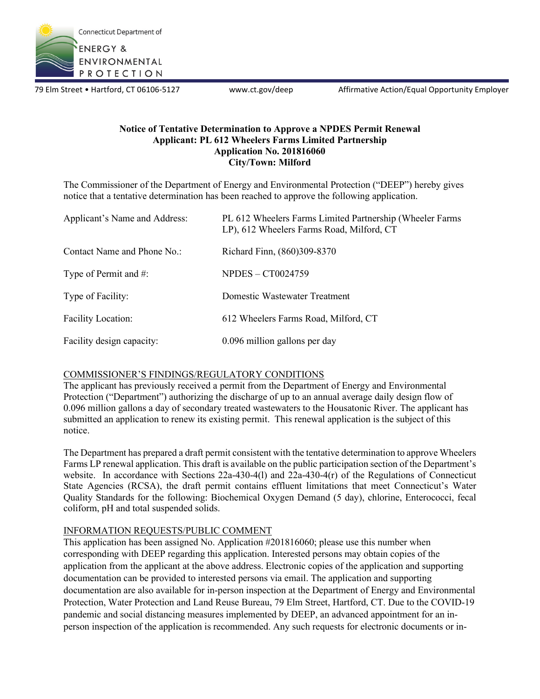

79 Elm Street • Hartford, CT 06106-5127 www.ct.gov/deep Affirmative Action/Equal Opportunity Employer

# **Notice of Tentative Determination to Approve a NPDES Permit Renewal Applicant: PL 612 Wheelers Farms Limited Partnership Application No. 201816060 City/Town: Milford**

The Commissioner of the Department of Energy and Environmental Protection ("DEEP") hereby gives notice that a tentative determination has been reached to approve the following application.

| Applicant's Name and Address: | PL 612 Wheelers Farms Limited Partnership (Wheeler Farms<br>LP), 612 Wheelers Farms Road, Milford, CT |
|-------------------------------|-------------------------------------------------------------------------------------------------------|
| Contact Name and Phone No.:   | Richard Finn, (860)309-8370                                                                           |
| Type of Permit and #:         | $NPDES - CT0024759$                                                                                   |
| Type of Facility:             | Domestic Wastewater Treatment                                                                         |
| <b>Facility Location:</b>     | 612 Wheelers Farms Road, Milford, CT                                                                  |
| Facility design capacity:     | 0.096 million gallons per day                                                                         |

# COMMISSIONER'S FINDINGS/REGULATORY CONDITIONS

The applicant has previously received a permit from the Department of Energy and Environmental Protection ("Department") authorizing the discharge of up to an annual average daily design flow of 0.096 million gallons a day of secondary treated wastewaters to the Housatonic River. The applicant has submitted an application to renew its existing permit. This renewal application is the subject of this notice.

The Department has prepared a draft permit consistent with the tentative determination to approve Wheelers Farms LP renewal application. This draft is available on the public participation section of the Department's website. In accordance with Sections 22a-430-4(1) and 22a-430-4(r) of the Regulations of Connecticut State Agencies (RCSA), the draft permit contains effluent limitations that meet Connecticut's Water Quality Standards for the following: Biochemical Oxygen Demand (5 day), chlorine, Enterococci, fecal coliform, pH and total suspended solids.

# INFORMATION REQUESTS/PUBLIC COMMENT

This application has been assigned No. Application #201816060; please use this number when corresponding with DEEP regarding this application. Interested persons may obtain copies of the application from the applicant at the above address. Electronic copies of the application and supporting documentation can be provided to interested persons via email. The application and supporting documentation are also available for in-person inspection at the Department of Energy and Environmental Protection, Water Protection and Land Reuse Bureau, 79 Elm Street, Hartford, CT. Due to the COVID-19 pandemic and social distancing measures implemented by DEEP, an advanced appointment for an inperson inspection of the application is recommended. Any such requests for electronic documents or in